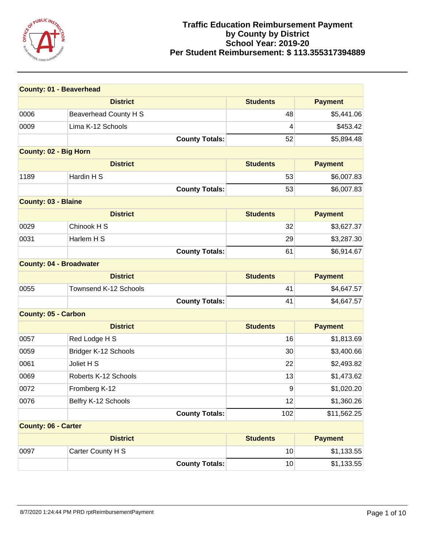

| <b>County: 01 - Beaverhead</b> |                       |                 |                |
|--------------------------------|-----------------------|-----------------|----------------|
|                                | <b>District</b>       | <b>Students</b> | <b>Payment</b> |
| 0006                           | Beaverhead County H S | 48              | \$5,441.06     |
| 0009                           | Lima K-12 Schools     | 4               | \$453.42       |
|                                | <b>County Totals:</b> | 52              | \$5,894.48     |
| <b>County: 02 - Big Horn</b>   |                       |                 |                |
|                                | <b>District</b>       | <b>Students</b> | <b>Payment</b> |
| 1189                           | Hardin H S            | 53              | \$6,007.83     |
|                                | <b>County Totals:</b> | 53              | \$6,007.83     |
| <b>County: 03 - Blaine</b>     |                       |                 |                |
|                                | <b>District</b>       | <b>Students</b> | <b>Payment</b> |
| 0029                           | Chinook H S           | 32              | \$3,627.37     |
| 0031                           | Harlem H S            | 29              | \$3,287.30     |
|                                | <b>County Totals:</b> | 61              | \$6,914.67     |
| <b>County: 04 - Broadwater</b> |                       |                 |                |
|                                | <b>District</b>       | <b>Students</b> | <b>Payment</b> |
| 0055                           | Townsend K-12 Schools | 41              | \$4,647.57     |
|                                | <b>County Totals:</b> | 41              | \$4,647.57     |
| <b>County: 05 - Carbon</b>     |                       |                 |                |
|                                | <b>District</b>       | <b>Students</b> | <b>Payment</b> |
| 0057                           | Red Lodge H S         | 16              | \$1,813.69     |
| 0059                           | Bridger K-12 Schools  | 30              | \$3,400.66     |
| 0061                           | Joliet H S            | 22              | \$2,493.82     |
| 0069                           | Roberts K-12 Schools  | 13              | \$1,473.62     |
| 0072                           | Fromberg K-12         | 9               | \$1,020.20     |
| 0076                           | Belfry K-12 Schools   | 12              | \$1,360.26     |
|                                | <b>County Totals:</b> | 102             | \$11,562.25    |
| <b>County: 06 - Carter</b>     |                       |                 |                |
|                                | <b>District</b>       | <b>Students</b> | <b>Payment</b> |
| 0097                           | Carter County H S     | 10              | \$1,133.55     |
|                                | <b>County Totals:</b> | 10              | \$1,133.55     |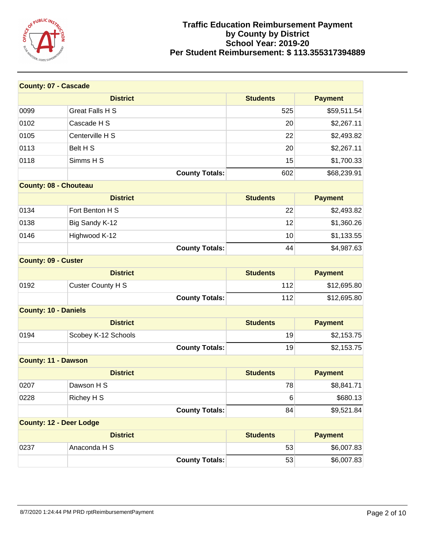

| <b>County: 07 - Cascade</b>    |                          |                 |                |
|--------------------------------|--------------------------|-----------------|----------------|
|                                | <b>District</b>          | <b>Students</b> | <b>Payment</b> |
| 0099                           | <b>Great Falls H S</b>   | 525             | \$59,511.54    |
| 0102                           | Cascade H S              | 20              | \$2,267.11     |
| 0105                           | Centerville H S          | 22              | \$2,493.82     |
| 0113                           | Belt H S                 | 20              | \$2,267.11     |
| 0118                           | Simms H S                | 15              | \$1,700.33     |
|                                | <b>County Totals:</b>    | 602             | \$68,239.91    |
| <b>County: 08 - Chouteau</b>   |                          |                 |                |
|                                | <b>District</b>          | <b>Students</b> | <b>Payment</b> |
| 0134                           | Fort Benton H S          | 22              | \$2,493.82     |
| 0138                           | Big Sandy K-12           | 12              | \$1,360.26     |
| 0146                           | Highwood K-12            | 10              | \$1,133.55     |
|                                | <b>County Totals:</b>    | 44              | \$4,987.63     |
| <b>County: 09 - Custer</b>     |                          |                 |                |
|                                | <b>District</b>          | <b>Students</b> | <b>Payment</b> |
| 0192                           | <b>Custer County H S</b> | 112             | \$12,695.80    |
|                                | <b>County Totals:</b>    | 112             | \$12,695.80    |
| <b>County: 10 - Daniels</b>    |                          |                 |                |
|                                | <b>District</b>          | <b>Students</b> | <b>Payment</b> |
| 0194                           | Scobey K-12 Schools      | 19              | \$2,153.75     |
|                                | <b>County Totals:</b>    | 19              | \$2,153.75     |
| <b>County: 11 - Dawson</b>     |                          |                 |                |
|                                | <b>District</b>          | <b>Students</b> | <b>Payment</b> |
| 0207                           | Dawson H S               | 78              | \$8,841.71     |
| 0228                           | Richey H S               | 6               | \$680.13       |
|                                | <b>County Totals:</b>    | 84              | \$9,521.84     |
| <b>County: 12 - Deer Lodge</b> |                          |                 |                |
|                                | <b>District</b>          | <b>Students</b> | <b>Payment</b> |
| 0237                           | Anaconda H S             | 53              | \$6,007.83     |
|                                | <b>County Totals:</b>    | 53              | \$6,007.83     |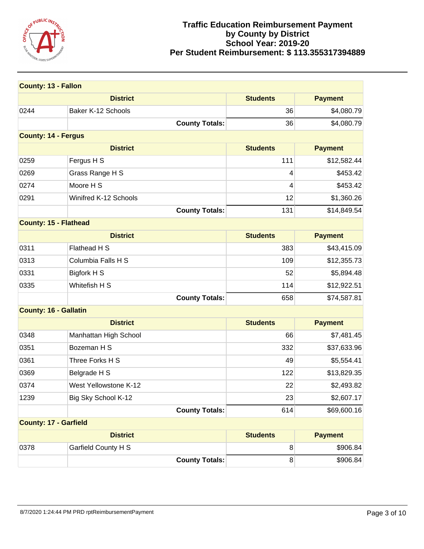

| <b>County: 13 - Fallon</b>   |                       |                 |                |
|------------------------------|-----------------------|-----------------|----------------|
|                              | <b>District</b>       | <b>Students</b> | <b>Payment</b> |
| 0244                         | Baker K-12 Schools    | 36              | \$4,080.79     |
|                              | <b>County Totals:</b> | 36              | \$4,080.79     |
| <b>County: 14 - Fergus</b>   |                       |                 |                |
|                              | <b>District</b>       | <b>Students</b> | <b>Payment</b> |
| 0259                         | Fergus H S            | 111             | \$12,582.44    |
| 0269                         | Grass Range H S       | 4               | \$453.42       |
| 0274                         | Moore H S             | 4               | \$453.42       |
| 0291                         | Winifred K-12 Schools | 12              | \$1,360.26     |
|                              | <b>County Totals:</b> | 131             | \$14,849.54    |
| <b>County: 15 - Flathead</b> |                       |                 |                |
|                              | <b>District</b>       | <b>Students</b> | <b>Payment</b> |
| 0311                         | Flathead H S          | 383             | \$43,415.09    |
| 0313                         | Columbia Falls H S    | 109             | \$12,355.73    |
| 0331                         | Bigfork H S           | 52              | \$5,894.48     |
| 0335                         | Whitefish H S         | 114             | \$12,922.51    |
|                              | <b>County Totals:</b> | 658             | \$74,587.81    |
| <b>County: 16 - Gallatin</b> |                       |                 |                |
|                              | <b>District</b>       | <b>Students</b> | <b>Payment</b> |
| 0348                         | Manhattan High School | 66              | \$7,481.45     |
| 0351                         | Bozeman H S           | 332             | \$37,633.96    |
| 0361                         | Three Forks H S       | 49              | \$5,554.41     |
| 0369                         | Belgrade H S          | 122             | \$13,829.35    |
| 0374                         | West Yellowstone K-12 | 22              | \$2,493.82     |
| 1239                         | Big Sky School K-12   | 23              | \$2,607.17     |
|                              | <b>County Totals:</b> | 614             | \$69,600.16    |
| <b>County: 17 - Garfield</b> |                       |                 |                |
|                              | <b>District</b>       | <b>Students</b> | <b>Payment</b> |
| 0378                         | Garfield County H S   | 8               | \$906.84       |
|                              | <b>County Totals:</b> | 8               | \$906.84       |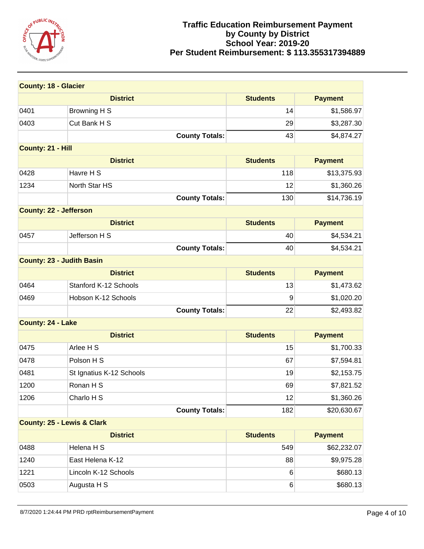

| <b>County: 18 - Glacier</b>      |                                       |                 |                |  |
|----------------------------------|---------------------------------------|-----------------|----------------|--|
|                                  | <b>District</b>                       | <b>Students</b> | <b>Payment</b> |  |
| 0401                             | Browning H S                          | 14              | \$1,586.97     |  |
| 0403                             | Cut Bank H S                          | 29              | \$3,287.30     |  |
|                                  | <b>County Totals:</b>                 | 43              | \$4,874.27     |  |
| County: 21 - Hill                |                                       |                 |                |  |
|                                  | <b>District</b>                       | <b>Students</b> | <b>Payment</b> |  |
| 0428                             | Havre H S                             | 118             | \$13,375.93    |  |
| 1234                             | North Star HS                         | 12              | \$1,360.26     |  |
|                                  | <b>County Totals:</b>                 | 130             | \$14,736.19    |  |
| <b>County: 22 - Jefferson</b>    |                                       |                 |                |  |
|                                  | <b>District</b>                       | <b>Students</b> | <b>Payment</b> |  |
| 0457                             | Jefferson H S                         | 40              | \$4,534.21     |  |
|                                  | <b>County Totals:</b>                 | 40              | \$4,534.21     |  |
| <b>County: 23 - Judith Basin</b> |                                       |                 |                |  |
|                                  | <b>District</b>                       | <b>Students</b> | <b>Payment</b> |  |
| 0464                             | Stanford K-12 Schools                 | 13              | \$1,473.62     |  |
| 0469                             | Hobson K-12 Schools                   | 9               | \$1,020.20     |  |
|                                  | <b>County Totals:</b>                 | 22              | \$2,493.82     |  |
| County: 24 - Lake                |                                       |                 |                |  |
|                                  | <b>District</b>                       | <b>Students</b> | <b>Payment</b> |  |
| 0475                             | Arlee H S                             | 15              | \$1,700.33     |  |
| 0478                             | Polson H S                            | 67              | \$7,594.81     |  |
| 0481                             | St Ignatius K-12 Schools              | 19              | \$2,153.75     |  |
| 1200                             | Ronan H S                             | 69              | \$7,821.52     |  |
| 1206                             | Charlo H S                            | 12              | \$1,360.26     |  |
|                                  | <b>County Totals:</b>                 | 182             | \$20,630.67    |  |
|                                  | <b>County: 25 - Lewis &amp; Clark</b> |                 |                |  |
|                                  | <b>District</b>                       | <b>Students</b> | <b>Payment</b> |  |
| 0488                             | Helena H S                            | 549             | \$62,232.07    |  |
| 1240                             | East Helena K-12                      | 88              | \$9,975.28     |  |
| 1221                             | Lincoln K-12 Schools                  | 6               | \$680.13       |  |
| 0503                             | Augusta H S                           | $\,6$           | \$680.13       |  |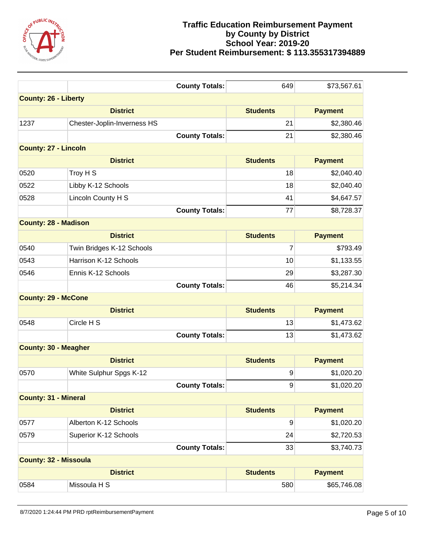

|                              | <b>County Totals:</b>       | 649              | \$73,567.61    |
|------------------------------|-----------------------------|------------------|----------------|
| <b>County: 26 - Liberty</b>  |                             |                  |                |
|                              | <b>District</b>             | <b>Students</b>  | <b>Payment</b> |
| 1237                         | Chester-Joplin-Inverness HS | 21               | \$2,380.46     |
|                              | <b>County Totals:</b>       | 21               | \$2,380.46     |
| <b>County: 27 - Lincoln</b>  |                             |                  |                |
|                              | <b>District</b>             | <b>Students</b>  | <b>Payment</b> |
| 0520                         | Troy H S                    | 18               | \$2,040.40     |
| 0522                         | Libby K-12 Schools          | 18               | \$2,040.40     |
| 0528                         | Lincoln County H S          | 41               | \$4,647.57     |
|                              | <b>County Totals:</b>       | 77               | \$8,728.37     |
| <b>County: 28 - Madison</b>  |                             |                  |                |
|                              | <b>District</b>             | <b>Students</b>  | <b>Payment</b> |
| 0540                         | Twin Bridges K-12 Schools   | 7                | \$793.49       |
| 0543                         | Harrison K-12 Schools       | 10               | \$1,133.55     |
| 0546                         | Ennis K-12 Schools          | 29               | \$3,287.30     |
|                              | <b>County Totals:</b>       | 46               | \$5,214.34     |
| <b>County: 29 - McCone</b>   |                             |                  |                |
|                              | <b>District</b>             | <b>Students</b>  | <b>Payment</b> |
| 0548                         | Circle H S                  | 13               | \$1,473.62     |
|                              | <b>County Totals:</b>       | 13               | \$1,473.62     |
| <b>County: 30 - Meagher</b>  |                             |                  |                |
|                              | <b>District</b>             | <b>Students</b>  | <b>Payment</b> |
| 0570                         | White Sulphur Spgs K-12     | 9                | \$1,020.20     |
|                              | <b>County Totals:</b>       | $\boldsymbol{9}$ | \$1,020.20     |
| <b>County: 31 - Mineral</b>  |                             |                  |                |
|                              | <b>District</b>             | <b>Students</b>  | <b>Payment</b> |
| 0577                         | Alberton K-12 Schools       | 9                | \$1,020.20     |
| 0579                         | Superior K-12 Schools       | 24               | \$2,720.53     |
|                              | <b>County Totals:</b>       | 33               | \$3,740.73     |
| <b>County: 32 - Missoula</b> |                             |                  |                |
|                              | <b>District</b>             | <b>Students</b>  | <b>Payment</b> |
| 0584                         | Missoula H S                | 580              | \$65,746.08    |
|                              |                             |                  |                |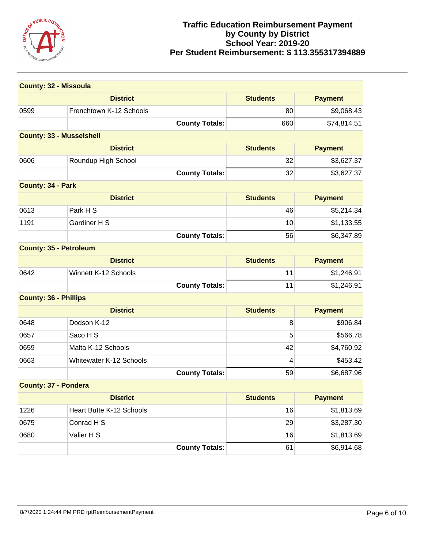

| <b>County: 32 - Missoula</b>    |                                |                 |                |
|---------------------------------|--------------------------------|-----------------|----------------|
|                                 | <b>District</b>                | <b>Students</b> | <b>Payment</b> |
| 0599                            | Frenchtown K-12 Schools        | 80              | \$9,068.43     |
|                                 | <b>County Totals:</b>          | 660             | \$74,814.51    |
| <b>County: 33 - Musselshell</b> |                                |                 |                |
|                                 | <b>District</b>                | <b>Students</b> | <b>Payment</b> |
| 0606                            | Roundup High School            | 32              | \$3,627.37     |
|                                 | <b>County Totals:</b>          | 32              | \$3,627.37     |
| <b>County: 34 - Park</b>        |                                |                 |                |
|                                 | <b>District</b>                | <b>Students</b> | <b>Payment</b> |
| 0613                            | Park H S                       | 46              | \$5,214.34     |
| 1191                            | Gardiner H S                   | 10              | \$1,133.55     |
|                                 | <b>County Totals:</b>          | 56              | \$6,347.89     |
| <b>County: 35 - Petroleum</b>   |                                |                 |                |
|                                 | <b>District</b>                | <b>Students</b> | <b>Payment</b> |
| 0642                            | Winnett K-12 Schools           | 11              | \$1,246.91     |
|                                 | <b>County Totals:</b>          | 11              | \$1,246.91     |
| <b>County: 36 - Phillips</b>    |                                |                 |                |
|                                 | <b>District</b>                | <b>Students</b> | <b>Payment</b> |
| 0648                            | Dodson K-12                    | 8               | \$906.84       |
| 0657                            | Saco H S                       | 5               | \$566.78       |
| 0659                            | Malta K-12 Schools             | 42              | \$4,760.92     |
| 0663                            | <b>Whitewater K-12 Schools</b> | 4               | \$453.42       |
|                                 | <b>County Totals:</b>          | 59              | \$6,687.96     |
| <b>County: 37 - Pondera</b>     |                                |                 |                |
|                                 | <b>District</b>                | <b>Students</b> | <b>Payment</b> |
| 1226                            | Heart Butte K-12 Schools       | 16              | \$1,813.69     |
| 0675                            | Conrad H S                     | 29              | \$3,287.30     |
| 0680                            | Valier H S                     | 16              | \$1,813.69     |
|                                 | <b>County Totals:</b>          | 61              | \$6,914.68     |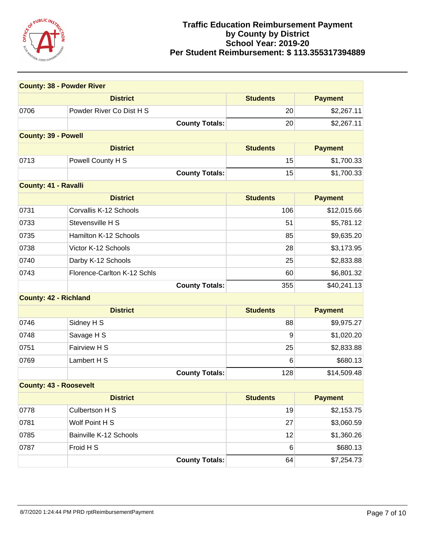

| <b>County: 38 - Powder River</b> |                             |                 |                |
|----------------------------------|-----------------------------|-----------------|----------------|
|                                  | <b>District</b>             | <b>Students</b> | <b>Payment</b> |
| 0706                             | Powder River Co Dist H S    | 20              | \$2,267.11     |
|                                  | <b>County Totals:</b>       | 20              | \$2,267.11     |
| <b>County: 39 - Powell</b>       |                             |                 |                |
|                                  | <b>District</b>             | <b>Students</b> | <b>Payment</b> |
| 0713                             | Powell County H S           | 15              | \$1,700.33     |
|                                  | <b>County Totals:</b>       | 15              | \$1,700.33     |
| <b>County: 41 - Ravalli</b>      |                             |                 |                |
|                                  | <b>District</b>             | <b>Students</b> | <b>Payment</b> |
| 0731                             | Corvallis K-12 Schools      | 106             | \$12,015.66    |
| 0733                             | Stevensville H S            | 51              | \$5,781.12     |
| 0735                             | Hamilton K-12 Schools       | 85              | \$9,635.20     |
| 0738                             | Victor K-12 Schools         | 28              | \$3,173.95     |
| 0740                             | Darby K-12 Schools          | 25              | \$2,833.88     |
| 0743                             | Florence-Carlton K-12 Schls | 60              | \$6,801.32     |
|                                  | <b>County Totals:</b>       | 355             | \$40,241.13    |
| <b>County: 42 - Richland</b>     |                             |                 |                |
| <b>District</b>                  |                             | <b>Students</b> | <b>Payment</b> |
| 0746                             | Sidney H S                  | 88              | \$9,975.27     |
| 0748                             | Savage H S                  | 9               | \$1,020.20     |
| 0751                             | Fairview H S                | 25              | \$2,833.88     |
| 0769                             | Lambert H S                 | 6               | \$680.13       |
|                                  | <b>County Totals:</b>       | 128             | \$14,509.48    |
| <b>County: 43 - Roosevelt</b>    |                             |                 |                |
|                                  | <b>District</b>             | <b>Students</b> | <b>Payment</b> |
| 0778                             | Culbertson H S              | 19              | \$2,153.75     |
| 0781                             | Wolf Point H S              | 27              | \$3,060.59     |
| 0785                             | Bainville K-12 Schools      | 12              | \$1,360.26     |
| 0787                             | Froid H S                   | 6               | \$680.13       |
|                                  | <b>County Totals:</b>       | 64              | \$7,254.73     |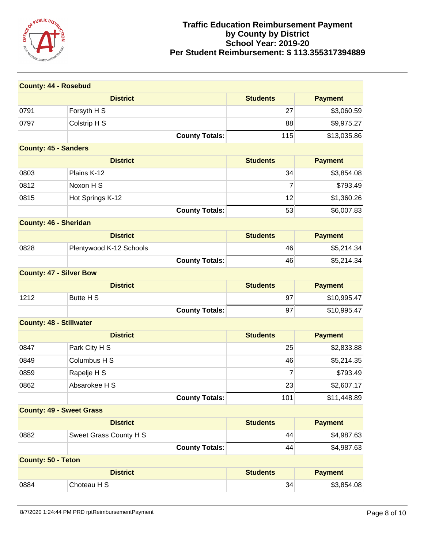

| <b>County: 44 - Rosebud</b>     |                         |                 |                |
|---------------------------------|-------------------------|-----------------|----------------|
|                                 | <b>District</b>         | <b>Students</b> | <b>Payment</b> |
| 0791                            | Forsyth H S             | 27              | \$3,060.59     |
| 0797                            | Colstrip H S            | 88              | \$9,975.27     |
|                                 | <b>County Totals:</b>   | 115             | \$13,035.86    |
| <b>County: 45 - Sanders</b>     |                         |                 |                |
|                                 | <b>District</b>         | <b>Students</b> | <b>Payment</b> |
| 0803                            | Plains K-12             | 34              | \$3,854.08     |
| 0812                            | Noxon H S               | 7               | \$793.49       |
| 0815                            | Hot Springs K-12        | 12              | \$1,360.26     |
|                                 | <b>County Totals:</b>   | 53              | \$6,007.83     |
| <b>County: 46 - Sheridan</b>    |                         |                 |                |
|                                 | <b>District</b>         | <b>Students</b> | <b>Payment</b> |
| 0828                            | Plentywood K-12 Schools | 46              | \$5,214.34     |
|                                 | <b>County Totals:</b>   | 46              | \$5,214.34     |
| <b>County: 47 - Silver Bow</b>  |                         |                 |                |
|                                 | <b>District</b>         | <b>Students</b> | <b>Payment</b> |
| 1212                            | Butte H S               | 97              | \$10,995.47    |
|                                 | <b>County Totals:</b>   | 97              | \$10,995.47    |
| <b>County: 48 - Stillwater</b>  |                         |                 |                |
|                                 | <b>District</b>         | <b>Students</b> | <b>Payment</b> |
| 0847                            | Park City H S           | 25              | \$2,833.88     |
| 0849                            | Columbus H S            | 46              | \$5,214.35     |
| 0859                            | Rapelje H S             | 7               | \$793.49       |
| 0862                            | Absarokee H S           | 23              | \$2,607.17     |
|                                 | <b>County Totals:</b>   | 101             | \$11,448.89    |
| <b>County: 49 - Sweet Grass</b> |                         |                 |                |
|                                 | <b>District</b>         | <b>Students</b> | <b>Payment</b> |
| 0882                            | Sweet Grass County H S  | 44              | \$4,987.63     |
|                                 | <b>County Totals:</b>   | 44              | \$4,987.63     |
| <b>County: 50 - Teton</b>       |                         |                 |                |
|                                 | <b>District</b>         | <b>Students</b> | <b>Payment</b> |
| 0884                            | Choteau H S             | 34              | \$3,854.08     |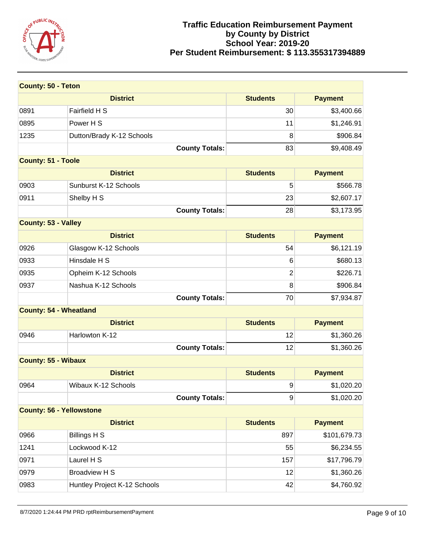

| <b>County: 50 - Teton</b>       |                              |                 |                |
|---------------------------------|------------------------------|-----------------|----------------|
|                                 | <b>District</b>              | <b>Students</b> | <b>Payment</b> |
| 0891                            | Fairfield H S                | 30              | \$3,400.66     |
| 0895                            | Power H S                    | 11              | \$1,246.91     |
| 1235                            | Dutton/Brady K-12 Schools    | 8               | \$906.84       |
|                                 | <b>County Totals:</b>        | 83              | \$9,408.49     |
| <b>County: 51 - Toole</b>       |                              |                 |                |
|                                 | <b>District</b>              | <b>Students</b> | <b>Payment</b> |
| 0903                            | Sunburst K-12 Schools        | 5               | \$566.78       |
| 0911                            | Shelby H S                   | 23              | \$2,607.17     |
|                                 | <b>County Totals:</b>        | 28              | \$3,173.95     |
| <b>County: 53 - Valley</b>      |                              |                 |                |
|                                 | <b>District</b>              | <b>Students</b> | <b>Payment</b> |
| 0926                            | Glasgow K-12 Schools         | 54              | \$6,121.19     |
| 0933                            | Hinsdale H S                 | 6               | \$680.13       |
| 0935                            | Opheim K-12 Schools          | $\overline{2}$  | \$226.71       |
| 0937                            | Nashua K-12 Schools          | 8               | \$906.84       |
|                                 | <b>County Totals:</b>        | 70              | \$7,934.87     |
| <b>County: 54 - Wheatland</b>   |                              |                 |                |
|                                 | <b>District</b>              | <b>Students</b> | <b>Payment</b> |
| 0946                            | Harlowton K-12               | 12              | \$1,360.26     |
|                                 | <b>County Totals:</b>        | 12              | \$1,360.26     |
| <b>County: 55 - Wibaux</b>      |                              |                 |                |
|                                 | <b>District</b>              | <b>Students</b> | <b>Payment</b> |
| 0964                            | Wibaux K-12 Schools          | 9               | \$1,020.20     |
|                                 | <b>County Totals:</b>        | 9               | \$1,020.20     |
| <b>County: 56 - Yellowstone</b> |                              |                 |                |
|                                 | <b>District</b>              | <b>Students</b> | <b>Payment</b> |
| 0966                            | <b>Billings H S</b>          | 897             | \$101,679.73   |
| 1241                            | Lockwood K-12                | 55              | \$6,234.55     |
| 0971                            | Laurel H S                   | 157             | \$17,796.79    |
| 0979                            | <b>Broadview H S</b>         | 12              | \$1,360.26     |
| 0983                            | Huntley Project K-12 Schools | 42              | \$4,760.92     |